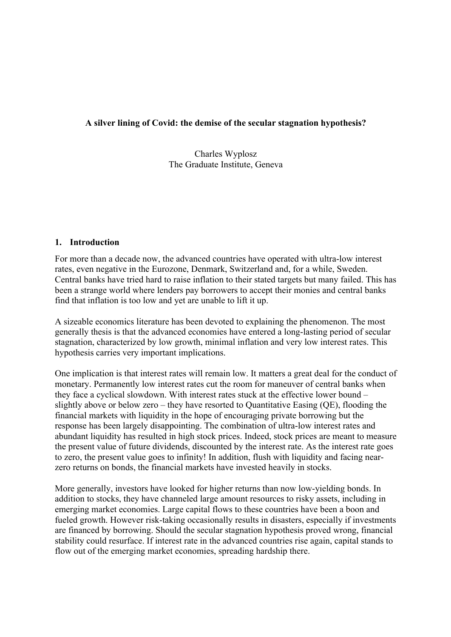### **A silver lining of Covid: the demise of the secular stagnation hypothesis?**

Charles Wyplosz The Graduate Institute, Geneva

### **1. Introduction**

For more than a decade now, the advanced countries have operated with ultra-low interest rates, even negative in the Eurozone, Denmark, Switzerland and, for a while, Sweden. Central banks have tried hard to raise inflation to their stated targets but many failed. This has been a strange world where lenders pay borrowers to accept their monies and central banks find that inflation is too low and yet are unable to lift it up.

A sizeable economics literature has been devoted to explaining the phenomenon. The most generally thesis is that the advanced economies have entered a long-lasting period of secular stagnation, characterized by low growth, minimal inflation and very low interest rates. This hypothesis carries very important implications.

One implication is that interest rates will remain low. It matters a great deal for the conduct of monetary. Permanently low interest rates cut the room for maneuver of central banks when they face a cyclical slowdown. With interest rates stuck at the effective lower bound – slightly above or below zero – they have resorted to Quantitative Easing (QE), flooding the financial markets with liquidity in the hope of encouraging private borrowing but the response has been largely disappointing. The combination of ultra-low interest rates and abundant liquidity has resulted in high stock prices. Indeed, stock prices are meant to measure the present value of future dividends, discounted by the interest rate. As the interest rate goes to zero, the present value goes to infinity! In addition, flush with liquidity and facing nearzero returns on bonds, the financial markets have invested heavily in stocks.

More generally, investors have looked for higher returns than now low-yielding bonds. In addition to stocks, they have channeled large amount resources to risky assets, including in emerging market economies. Large capital flows to these countries have been a boon and fueled growth. However risk-taking occasionally results in disasters, especially if investments are financed by borrowing. Should the secular stagnation hypothesis proved wrong, financial stability could resurface. If interest rate in the advanced countries rise again, capital stands to flow out of the emerging market economies, spreading hardship there.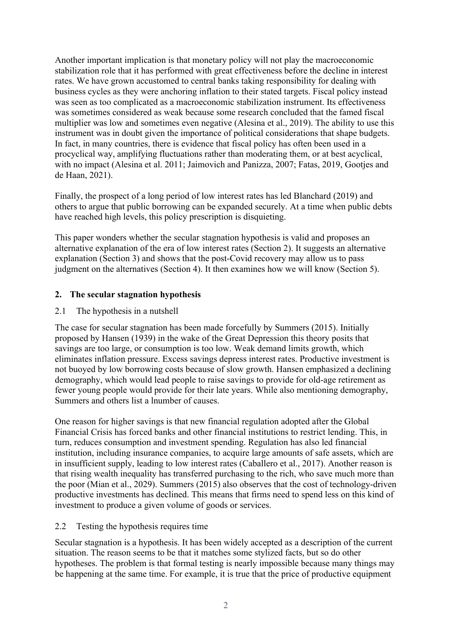Another important implication is that monetary policy will not play the macroeconomic stabilization role that it has performed with great effectiveness before the decline in interest rates. We have grown accustomed to central banks taking responsibility for dealing with business cycles as they were anchoring inflation to their stated targets. Fiscal policy instead was seen as too complicated as a macroeconomic stabilization instrument. Its effectiveness was sometimes considered as weak because some research concluded that the famed fiscal multiplier was low and sometimes even negative (Alesina et al., 2019). The ability to use this instrument was in doubt given the importance of political considerations that shape budgets. In fact, in many countries, there is evidence that fiscal policy has often been used in a procyclical way, amplifying fluctuations rather than moderating them, or at best acyclical, with no impact (Alesina et al. 2011; Jaimovich and Panizza, 2007; Fatas, 2019, Gootjes and de Haan, 2021).

Finally, the prospect of a long period of low interest rates has led Blanchard (2019) and others to argue that public borrowing can be expanded securely. At a time when public debts have reached high levels, this policy prescription is disquieting.

This paper wonders whether the secular stagnation hypothesis is valid and proposes an alternative explanation of the era of low interest rates (Section 2). It suggests an alternative explanation (Section 3) and shows that the post-Covid recovery may allow us to pass judgment on the alternatives (Section 4). It then examines how we will know (Section 5).

# **2. The secular stagnation hypothesis**

### 2.1 The hypothesis in a nutshell

The case for secular stagnation has been made forcefully by Summers (2015). Initially proposed by Hansen (1939) in the wake of the Great Depression this theory posits that savings are too large, or consumption is too low. Weak demand limits growth, which eliminates inflation pressure. Excess savings depress interest rates. Productive investment is not buoyed by low borrowing costs because of slow growth. Hansen emphasized a declining demography, which would lead people to raise savings to provide for old-age retirement as fewer young people would provide for their late years. While also mentioning demography, Summers and others list a lnumber of causes.

One reason for higher savings is that new financial regulation adopted after the Global Financial Crisis has forced banks and other financial institutions to restrict lending. This, in turn, reduces consumption and investment spending. Regulation has also led financial institution, including insurance companies, to acquire large amounts of safe assets, which are in insufficient supply, leading to low interest rates (Caballero et al., 2017). Another reason is that rising wealth inequality has transferred purchasing to the rich, who save much more than the poor (Mian et al., 2029). Summers (2015) also observes that the cost of technology-driven productive investments has declined. This means that firms need to spend less on this kind of investment to produce a given volume of goods or services.

### 2.2 Testing the hypothesis requires time

Secular stagnation is a hypothesis. It has been widely accepted as a description of the current situation. The reason seems to be that it matches some stylized facts, but so do other hypotheses. The problem is that formal testing is nearly impossible because many things may be happening at the same time. For example, it is true that the price of productive equipment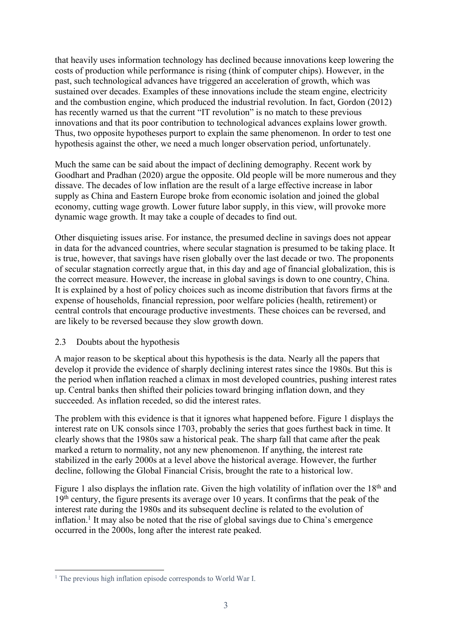that heavily uses information technology has declined because innovations keep lowering the costs of production while performance is rising (think of computer chips). However, in the past, such technological advances have triggered an acceleration of growth, which was sustained over decades. Examples of these innovations include the steam engine, electricity and the combustion engine, which produced the industrial revolution. In fact, Gordon (2012) has recently warned us that the current "IT revolution" is no match to these previous innovations and that its poor contribution to technological advances explains lower growth. Thus, two opposite hypotheses purport to explain the same phenomenon. In order to test one hypothesis against the other, we need a much longer observation period, unfortunately.

Much the same can be said about the impact of declining demography. Recent work by Goodhart and Pradhan (2020) argue the opposite. Old people will be more numerous and they dissave. The decades of low inflation are the result of a large effective increase in labor supply as China and Eastern Europe broke from economic isolation and joined the global economy, cutting wage growth. Lower future labor supply, in this view, will provoke more dynamic wage growth. It may take a couple of decades to find out.

Other disquieting issues arise. For instance, the presumed decline in savings does not appear in data for the advanced countries, where secular stagnation is presumed to be taking place. It is true, however, that savings have risen globally over the last decade or two. The proponents of secular stagnation correctly argue that, in this day and age of financial globalization, this is the correct measure. However, the increase in global savings is down to one country, China. It is explained by a host of policy choices such as income distribution that favors firms at the expense of households, financial repression, poor welfare policies (health, retirement) or central controls that encourage productive investments. These choices can be reversed, and are likely to be reversed because they slow growth down.

### 2.3 Doubts about the hypothesis

A major reason to be skeptical about this hypothesis is the data. Nearly all the papers that develop it provide the evidence of sharply declining interest rates since the 1980s. But this is the period when inflation reached a climax in most developed countries, pushing interest rates up. Central banks then shifted their policies toward bringing inflation down, and they succeeded. As inflation receded, so did the interest rates.

The problem with this evidence is that it ignores what happened before. Figure 1 displays the interest rate on UK consols since 1703, probably the series that goes furthest back in time. It clearly shows that the 1980s saw a historical peak. The sharp fall that came after the peak marked a return to normality, not any new phenomenon. If anything, the interest rate stabilized in the early 2000s at a level above the historical average. However, the further decline, following the Global Financial Crisis, brought the rate to a historical low.

Figure 1 also displays the inflation rate. Given the high volatility of inflation over the  $18<sup>th</sup>$  and 19<sup>th</sup> century, the figure presents its average over 10 years. It confirms that the peak of the interest rate during the 1980s and its subsequent decline is related to the evolution of inflation.<sup>1</sup> It may also be noted that the rise of global savings due to China's emergence occurred in the 2000s, long after the interest rate peaked.

<sup>&</sup>lt;sup>1</sup> The previous high inflation episode corresponds to World War I.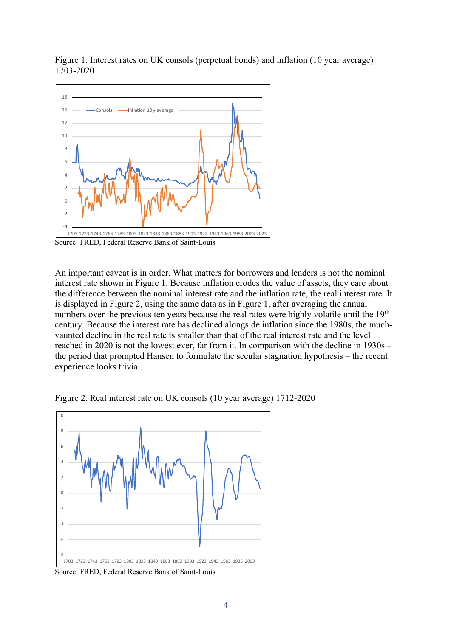Figure 1. Interest rates on UK consols (perpetual bonds) and inflation (10 year average) 1703-2020



Source: FRED, Federal Reserve Bank of Saint-Louis

An important caveat is in order. What matters for borrowers and lenders is not the nominal interest rate shown in Figure 1. Because inflation erodes the value of assets, they care about the difference between the nominal interest rate and the inflation rate, the real interest rate. It is displayed in Figure 2, using the same data as in Figure 1, after averaging the annual numbers over the previous ten years because the real rates were highly volatile until the 19<sup>th</sup> century. Because the interest rate has declined alongside inflation since the 1980s, the muchvaunted decline in the real rate is smaller than that of the real interest rate and the level reached in 2020 is not the lowest ever, far from it. In comparison with the decline in 1930s – the period that prompted Hansen to formulate the secular stagnation hypothesis – the recent experience looks trivial.





Source: FRED, Federal Reserve Bank of Saint-Louis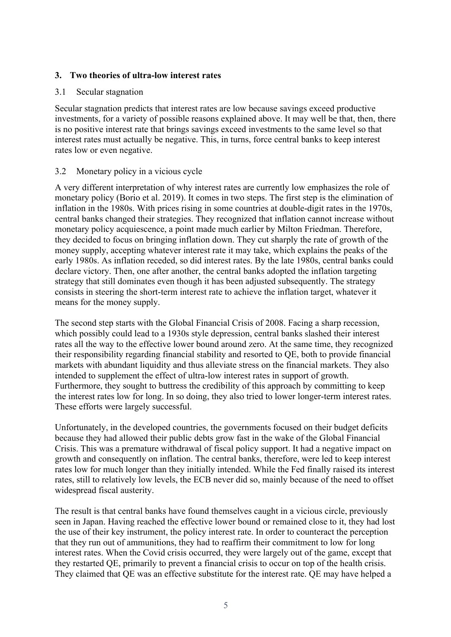## **3. Two theories of ultra-low interest rates**

### 3.1 Secular stagnation

Secular stagnation predicts that interest rates are low because savings exceed productive investments, for a variety of possible reasons explained above. It may well be that, then, there is no positive interest rate that brings savings exceed investments to the same level so that interest rates must actually be negative. This, in turns, force central banks to keep interest rates low or even negative.

### 3.2 Monetary policy in a vicious cycle

A very different interpretation of why interest rates are currently low emphasizes the role of monetary policy (Borio et al. 2019). It comes in two steps. The first step is the elimination of inflation in the 1980s. With prices rising in some countries at double-digit rates in the 1970s, central banks changed their strategies. They recognized that inflation cannot increase without monetary policy acquiescence, a point made much earlier by Milton Friedman. Therefore, they decided to focus on bringing inflation down. They cut sharply the rate of growth of the money supply, accepting whatever interest rate it may take, which explains the peaks of the early 1980s. As inflation receded, so did interest rates. By the late 1980s, central banks could declare victory. Then, one after another, the central banks adopted the inflation targeting strategy that still dominates even though it has been adjusted subsequently. The strategy consists in steering the short-term interest rate to achieve the inflation target, whatever it means for the money supply.

The second step starts with the Global Financial Crisis of 2008. Facing a sharp recession, which possibly could lead to a 1930s style depression, central banks slashed their interest rates all the way to the effective lower bound around zero. At the same time, they recognized their responsibility regarding financial stability and resorted to QE, both to provide financial markets with abundant liquidity and thus alleviate stress on the financial markets. They also intended to supplement the effect of ultra-low interest rates in support of growth. Furthermore, they sought to buttress the credibility of this approach by committing to keep the interest rates low for long. In so doing, they also tried to lower longer-term interest rates. These efforts were largely successful.

Unfortunately, in the developed countries, the governments focused on their budget deficits because they had allowed their public debts grow fast in the wake of the Global Financial Crisis. This was a premature withdrawal of fiscal policy support. It had a negative impact on growth and consequently on inflation. The central banks, therefore, were led to keep interest rates low for much longer than they initially intended. While the Fed finally raised its interest rates, still to relatively low levels, the ECB never did so, mainly because of the need to offset widespread fiscal austerity.

The result is that central banks have found themselves caught in a vicious circle, previously seen in Japan. Having reached the effective lower bound or remained close to it, they had lost the use of their key instrument, the policy interest rate. In order to counteract the perception that they run out of ammunitions, they had to reaffirm their commitment to low for long interest rates. When the Covid crisis occurred, they were largely out of the game, except that they restarted QE, primarily to prevent a financial crisis to occur on top of the health crisis. They claimed that QE was an effective substitute for the interest rate. QE may have helped a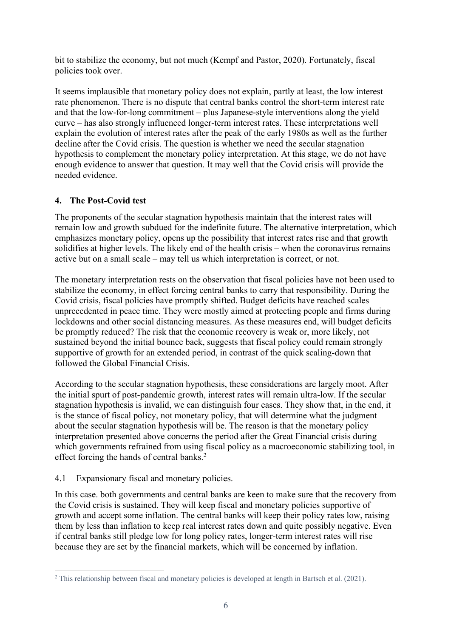bit to stabilize the economy, but not much (Kempf and Pastor, 2020). Fortunately, fiscal policies took over.

It seems implausible that monetary policy does not explain, partly at least, the low interest rate phenomenon. There is no dispute that central banks control the short-term interest rate and that the low-for-long commitment – plus Japanese-style interventions along the yield curve – has also strongly influenced longer-term interest rates. These interpretations well explain the evolution of interest rates after the peak of the early 1980s as well as the further decline after the Covid crisis. The question is whether we need the secular stagnation hypothesis to complement the monetary policy interpretation. At this stage, we do not have enough evidence to answer that question. It may well that the Covid crisis will provide the needed evidence.

# **4. The Post-Covid test**

The proponents of the secular stagnation hypothesis maintain that the interest rates will remain low and growth subdued for the indefinite future. The alternative interpretation, which emphasizes monetary policy, opens up the possibility that interest rates rise and that growth solidifies at higher levels. The likely end of the health crisis – when the coronavirus remains active but on a small scale – may tell us which interpretation is correct, or not.

The monetary interpretation rests on the observation that fiscal policies have not been used to stabilize the economy, in effect forcing central banks to carry that responsibility. During the Covid crisis, fiscal policies have promptly shifted. Budget deficits have reached scales unprecedented in peace time. They were mostly aimed at protecting people and firms during lockdowns and other social distancing measures. As these measures end, will budget deficits be promptly reduced? The risk that the economic recovery is weak or, more likely, not sustained beyond the initial bounce back, suggests that fiscal policy could remain strongly supportive of growth for an extended period, in contrast of the quick scaling-down that followed the Global Financial Crisis.

According to the secular stagnation hypothesis, these considerations are largely moot. After the initial spurt of post-pandemic growth, interest rates will remain ultra-low. If the secular stagnation hypothesis is invalid, we can distinguish four cases. They show that, in the end, it is the stance of fiscal policy, not monetary policy, that will determine what the judgment about the secular stagnation hypothesis will be. The reason is that the monetary policy interpretation presented above concerns the period after the Great Financial crisis during which governments refrained from using fiscal policy as a macroeconomic stabilizing tool, in effect forcing the hands of central banks.2

# 4.1 Expansionary fiscal and monetary policies.

In this case. both governments and central banks are keen to make sure that the recovery from the Covid crisis is sustained. They will keep fiscal and monetary policies supportive of growth and accept some inflation. The central banks will keep their policy rates low, raising them by less than inflation to keep real interest rates down and quite possibly negative. Even if central banks still pledge low for long policy rates, longer-term interest rates will rise because they are set by the financial markets, which will be concerned by inflation.

<sup>&</sup>lt;sup>2</sup> This relationship between fiscal and monetary policies is developed at length in Bartsch et al. (2021).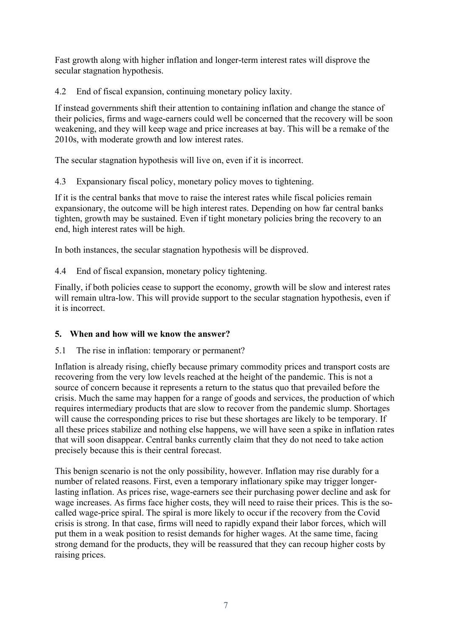Fast growth along with higher inflation and longer-term interest rates will disprove the secular stagnation hypothesis.

4.2 End of fiscal expansion, continuing monetary policy laxity.

If instead governments shift their attention to containing inflation and change the stance of their policies, firms and wage-earners could well be concerned that the recovery will be soon weakening, and they will keep wage and price increases at bay. This will be a remake of the 2010s, with moderate growth and low interest rates.

The secular stagnation hypothesis will live on, even if it is incorrect.

4.3 Expansionary fiscal policy, monetary policy moves to tightening.

If it is the central banks that move to raise the interest rates while fiscal policies remain expansionary, the outcome will be high interest rates. Depending on how far central banks tighten, growth may be sustained. Even if tight monetary policies bring the recovery to an end, high interest rates will be high.

In both instances, the secular stagnation hypothesis will be disproved.

4.4 End of fiscal expansion, monetary policy tightening.

Finally, if both policies cease to support the economy, growth will be slow and interest rates will remain ultra-low. This will provide support to the secular stagnation hypothesis, even if it is incorrect.

# **5. When and how will we know the answer?**

5.1 The rise in inflation: temporary or permanent?

Inflation is already rising, chiefly because primary commodity prices and transport costs are recovering from the very low levels reached at the height of the pandemic. This is not a source of concern because it represents a return to the status quo that prevailed before the crisis. Much the same may happen for a range of goods and services, the production of which requires intermediary products that are slow to recover from the pandemic slump. Shortages will cause the corresponding prices to rise but these shortages are likely to be temporary. If all these prices stabilize and nothing else happens, we will have seen a spike in inflation rates that will soon disappear. Central banks currently claim that they do not need to take action precisely because this is their central forecast.

This benign scenario is not the only possibility, however. Inflation may rise durably for a number of related reasons. First, even a temporary inflationary spike may trigger longerlasting inflation. As prices rise, wage-earners see their purchasing power decline and ask for wage increases. As firms face higher costs, they will need to raise their prices. This is the socalled wage-price spiral. The spiral is more likely to occur if the recovery from the Covid crisis is strong. In that case, firms will need to rapidly expand their labor forces, which will put them in a weak position to resist demands for higher wages. At the same time, facing strong demand for the products, they will be reassured that they can recoup higher costs by raising prices.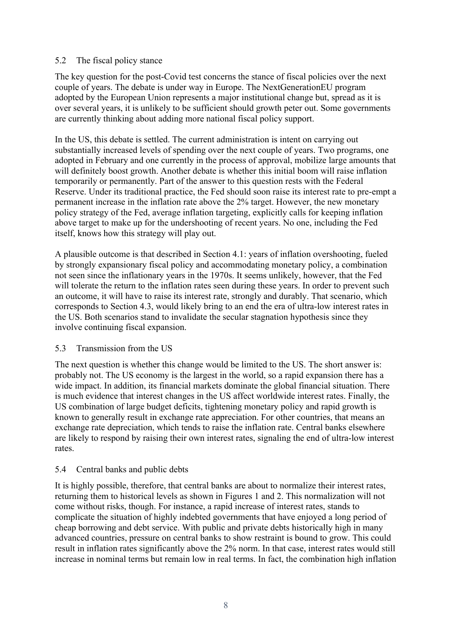## 5.2 The fiscal policy stance

The key question for the post-Covid test concerns the stance of fiscal policies over the next couple of years. The debate is under way in Europe. The NextGenerationEU program adopted by the European Union represents a major institutional change but, spread as it is over several years, it is unlikely to be sufficient should growth peter out. Some governments are currently thinking about adding more national fiscal policy support.

In the US, this debate is settled. The current administration is intent on carrying out substantially increased levels of spending over the next couple of years. Two programs, one adopted in February and one currently in the process of approval, mobilize large amounts that will definitely boost growth. Another debate is whether this initial boom will raise inflation temporarily or permanently. Part of the answer to this question rests with the Federal Reserve. Under its traditional practice, the Fed should soon raise its interest rate to pre-empt a permanent increase in the inflation rate above the 2% target. However, the new monetary policy strategy of the Fed, average inflation targeting, explicitly calls for keeping inflation above target to make up for the undershooting of recent years. No one, including the Fed itself, knows how this strategy will play out.

A plausible outcome is that described in Section 4.1: years of inflation overshooting, fueled by strongly expansionary fiscal policy and accommodating monetary policy, a combination not seen since the inflationary years in the 1970s. It seems unlikely, however, that the Fed will tolerate the return to the inflation rates seen during these years. In order to prevent such an outcome, it will have to raise its interest rate, strongly and durably. That scenario, which corresponds to Section 4.3, would likely bring to an end the era of ultra-low interest rates in the US. Both scenarios stand to invalidate the secular stagnation hypothesis since they involve continuing fiscal expansion.

### 5.3 Transmission from the US

The next question is whether this change would be limited to the US. The short answer is: probably not. The US economy is the largest in the world, so a rapid expansion there has a wide impact. In addition, its financial markets dominate the global financial situation. There is much evidence that interest changes in the US affect worldwide interest rates. Finally, the US combination of large budget deficits, tightening monetary policy and rapid growth is known to generally result in exchange rate appreciation. For other countries, that means an exchange rate depreciation, which tends to raise the inflation rate. Central banks elsewhere are likely to respond by raising their own interest rates, signaling the end of ultra-low interest rates.

# 5.4 Central banks and public debts

It is highly possible, therefore, that central banks are about to normalize their interest rates, returning them to historical levels as shown in Figures 1 and 2. This normalization will not come without risks, though. For instance, a rapid increase of interest rates, stands to complicate the situation of highly indebted governments that have enjoyed a long period of cheap borrowing and debt service. With public and private debts historically high in many advanced countries, pressure on central banks to show restraint is bound to grow. This could result in inflation rates significantly above the 2% norm. In that case, interest rates would still increase in nominal terms but remain low in real terms. In fact, the combination high inflation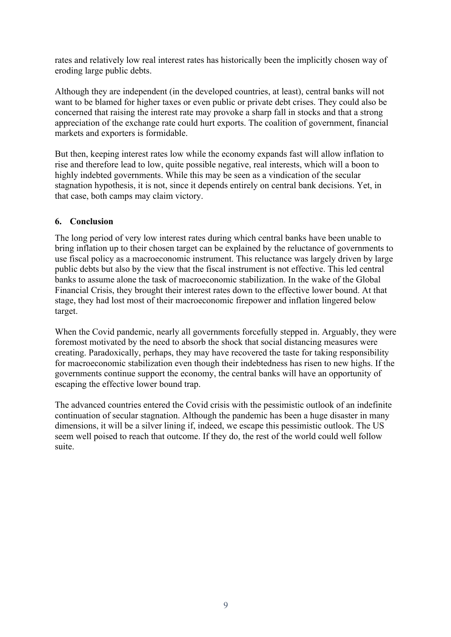rates and relatively low real interest rates has historically been the implicitly chosen way of eroding large public debts.

Although they are independent (in the developed countries, at least), central banks will not want to be blamed for higher taxes or even public or private debt crises. They could also be concerned that raising the interest rate may provoke a sharp fall in stocks and that a strong appreciation of the exchange rate could hurt exports. The coalition of government, financial markets and exporters is formidable.

But then, keeping interest rates low while the economy expands fast will allow inflation to rise and therefore lead to low, quite possible negative, real interests, which will a boon to highly indebted governments. While this may be seen as a vindication of the secular stagnation hypothesis, it is not, since it depends entirely on central bank decisions. Yet, in that case, both camps may claim victory.

# **6. Conclusion**

The long period of very low interest rates during which central banks have been unable to bring inflation up to their chosen target can be explained by the reluctance of governments to use fiscal policy as a macroeconomic instrument. This reluctance was largely driven by large public debts but also by the view that the fiscal instrument is not effective. This led central banks to assume alone the task of macroeconomic stabilization. In the wake of the Global Financial Crisis, they brought their interest rates down to the effective lower bound. At that stage, they had lost most of their macroeconomic firepower and inflation lingered below target.

When the Covid pandemic, nearly all governments forcefully stepped in. Arguably, they were foremost motivated by the need to absorb the shock that social distancing measures were creating. Paradoxically, perhaps, they may have recovered the taste for taking responsibility for macroeconomic stabilization even though their indebtedness has risen to new highs. If the governments continue support the economy, the central banks will have an opportunity of escaping the effective lower bound trap.

The advanced countries entered the Covid crisis with the pessimistic outlook of an indefinite continuation of secular stagnation. Although the pandemic has been a huge disaster in many dimensions, it will be a silver lining if, indeed, we escape this pessimistic outlook. The US seem well poised to reach that outcome. If they do, the rest of the world could well follow suite.